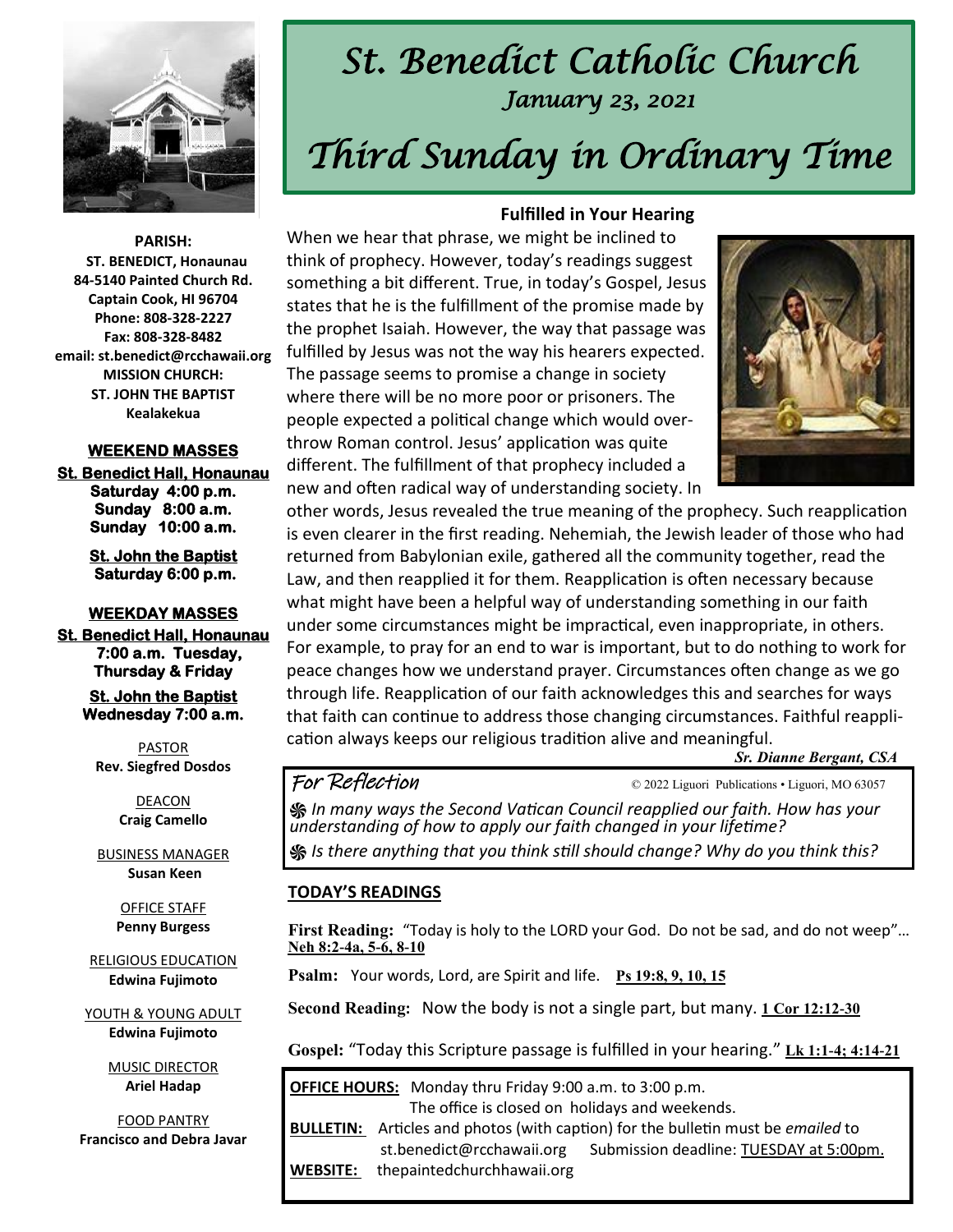

# *St. Benedict Catholic Church January 23, 2021 Third Sunday in Ordinary Time*

**PARISH: ST. BENEDICT, Honaunau 84-5140 Painted Church Rd. Captain Cook, HI 96704 Phone: 808-328-2227 Fax: 808-328-8482 email: st.benedict@rcchawaii.org MISSION CHURCH: ST. JOHN THE BAPTIST Kealakekua** 

#### **WEEKEND MASSES**

**St. Benedict Hall, Honaunau Saturday 4:00 p.m. Sunday 8:00 a.m. Sunday 10:00 a.m.** 

> **St. John the Baptist Saturday 6:00 p.m.**

**WEEKDAY MASSES St. Benedict Hall, Honaunau 7:00 a.m. Tuesday, Thursday & Friday** 

> **St. John the Baptist Wednesday 7:00 a.m.**

PASTOR **Rev. Siegfred Dosdos**

> DEACON **Craig Camello**

BUSINESS MANAGER **Susan Keen**

> OFFICE STAFF **Penny Burgess**

RELIGIOUS EDUCATION **Edwina Fujimoto**

YOUTH & YOUNG ADULT **Edwina Fujimoto**

> MUSIC DIRECTOR **Ariel Hadap**

FOOD PANTRY **Francisco and Debra Javar**

#### **Fulfilled in Your Hearing**

When we hear that phrase, we might be inclined to think of prophecy. However, today's readings suggest something a bit different. True, in today's Gospel, Jesus states that he is the fulfillment of the promise made by the prophet Isaiah. However, the way that passage was fulfilled by Jesus was not the way his hearers expected. The passage seems to promise a change in society where there will be no more poor or prisoners. The people expected a political change which would overthrow Roman control. Jesus' application was quite different. The fulfillment of that prophecy included a new and often radical way of understanding society. In



other words, Jesus revealed the true meaning of the prophecy. Such reapplication is even clearer in the first reading. Nehemiah, the Jewish leader of those who had returned from Babylonian exile, gathered all the community together, read the Law, and then reapplied it for them. Reapplication is often necessary because what might have been a helpful way of understanding something in our faith under some circumstances might be impractical, even inappropriate, in others. For example, to pray for an end to war is important, but to do nothing to work for peace changes how we understand prayer. Circumstances often change as we go through life. Reapplication of our faith acknowledges this and searches for ways that faith can continue to address those changing circumstances. Faithful reapplication always keeps our religious tradition alive and meaningful.

*Sr. Dianne Bergant, CSA* 

For Reflection  $\epsilon$   $\sim$  2022 Liguori Publications • Liguori, MO 63057

*֍ In many ways the Second Vatican Council reapplied our faith. How has your understanding of how to apply our faith changed in your lifetime?*  **֍** *Is there anything that you think still should change? Why do you think this?* 

#### **TODAY'S READINGS**

**First Reading:** "Today is holy to the LORD your God. Do not be sad, and do not weep"… **[Neh 8:2-4a, 5-6, 8-10](https://bible.usccb.org/bible/nehemiah/8?2)**

**Psalm:** Your words, Lord, are Spirit and life. **[Ps 19:8, 9, 10, 15](https://bible.usccb.org/bible/psalms/19?8)** 

**Second Reading:** Now the body is not a single part, but many. **[1 Cor 12:12-30](https://bible.usccb.org/bible/1corinthians/12?12)**

Gospel: "Today this Scripture passage is fulfilled in your hearing." [Lk 1:1-4; 4:14-21](https://bible.usccb.org/bible/luke/4?1)

| <b>OFFICE HOURS:</b> Monday thru Friday 9:00 a.m. to 3:00 p.m. |                                                                                                |  |
|----------------------------------------------------------------|------------------------------------------------------------------------------------------------|--|
| The office is closed on holidays and weekends.                 |                                                                                                |  |
|                                                                | <b>BULLETIN:</b> Articles and photos (with caption) for the bulletin must be <i>emailed</i> to |  |
|                                                                | Submission deadline: TUESDAY at 5:00pm.<br>st.benedict@rcchawaii.org                           |  |
| <b>WEBSITE:</b>                                                | thepaintedchurchhawaii.org                                                                     |  |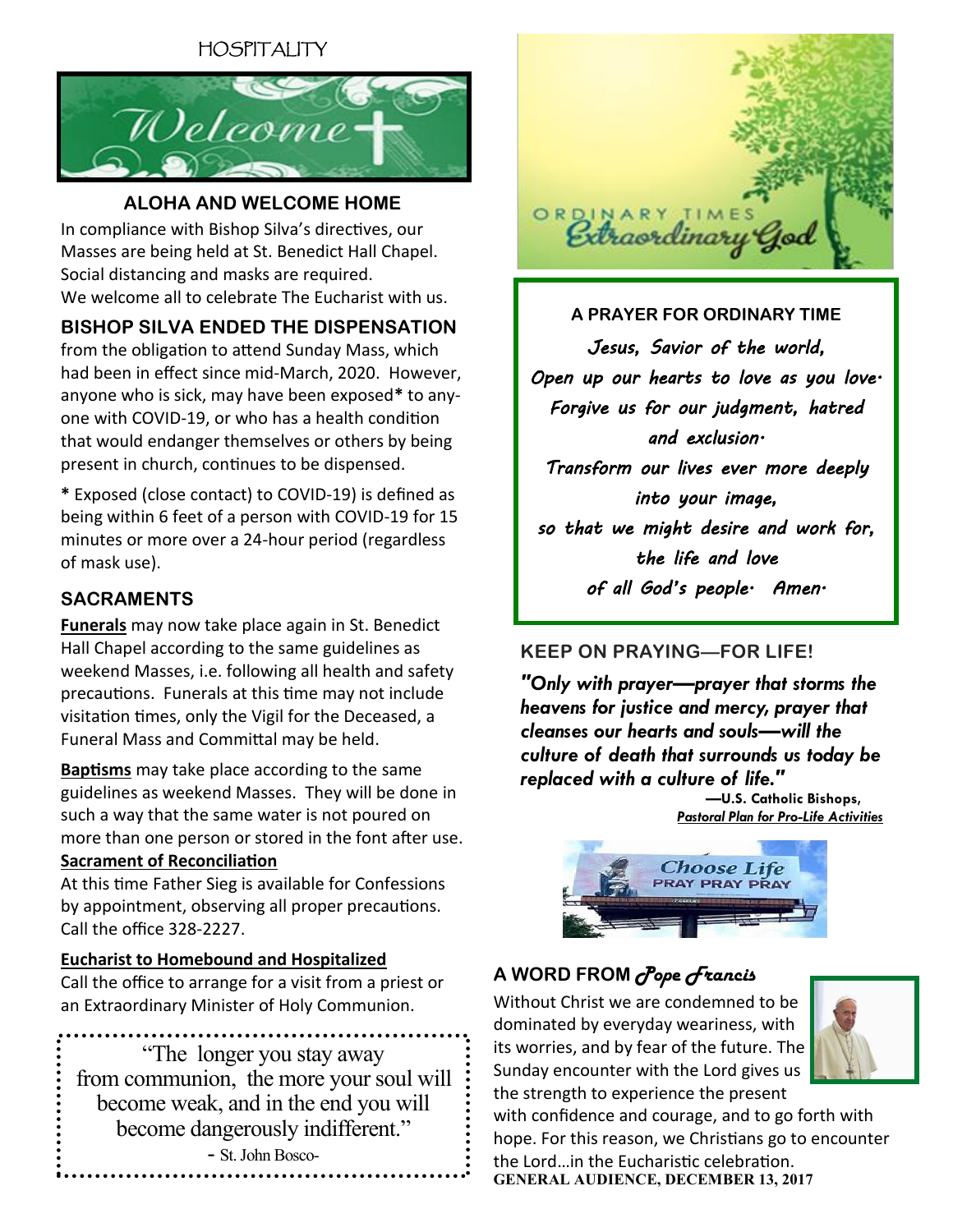## HOSPITALITY



#### **ALOHA AND WELCOME HOME**

In compliance with Bishop Silva's directives, our Masses are being held at St. Benedict Hall Chapel. Social distancing and masks are required. We welcome all to celebrate The Eucharist with us.

### **BISHOP SILVA ENDED THE DISPENSATION**

from the obligation to attend Sunday Mass, which had been in effect since mid-March, 2020. However, anyone who is sick, may have been exposed**\*** to anyone with COVID-19, or who has a health condition that would endanger themselves or others by being present in church, continues to be dispensed.

**\*** Exposed (close contact) to COVID-19) is defined as being within 6 feet of a person with COVID-19 for 15 minutes or more over a 24-hour period (regardless of mask use).

#### **SACRAMENTS**

**Funerals** may now take place again in St. Benedict Hall Chapel according to the same guidelines as weekend Masses, i.e. following all health and safety precautions. Funerals at this time may not include visitation times, only the Vigil for the Deceased, a Funeral Mass and Committal may be held.

**Baptisms** may take place according to the same guidelines as weekend Masses. They will be done in such a way that the same water is not poured on more than one person or stored in the font after use. **Sacrament of Reconciliation**

At this time Father Sieg is available for Confessions by appointment, observing all proper precautions. Call the office 328-2227.

#### **Eucharist to Homebound and Hospitalized**

Call the office to arrange for a visit from a priest or an Extraordinary Minister of Holy Communion.

"The longer you stay away from communion, the more your soul will become weak, and in the end you will become dangerously indifferent." - St. John Bosco-



**A PRAYER FOR ORDINARY TIME** *Jesus, Savior of the world, Open up our hearts to love as you love. Forgive us for our judgment, hatred and exclusion. Transform our lives ever more deeply into your image, so that we might desire and work for, the life and love of all God's people. Amen.* 

### **KEEP ON PRAYING—FOR LIFE!**

*"Only with prayer—prayer that storms the heavens for justice and mercy, prayer that cleanses our hearts and souls—will the culture of death that surrounds us today be replaced with a culture of life."*

 *—***U.S. Catholic Bishops,** *[Pastoral Plan for Pro-Life Activities](http://www.usccb.org/about/pro-life-activities/pastoral-plan-prolife-activities.cfm)*



## **A WORD FROM** *Pope Francis*

Without Christ we are condemned to be dominated by everyday weariness, with its worries, and by fear of the future. The Sunday encounter with the Lord gives us the strength to experience the present



with confidence and courage, and to go forth with hope. For this reason, we Christians go to encounter the Lord…in the Eucharistic celebration. **GENERAL AUDIENCE, DECEMBER 13, 2017**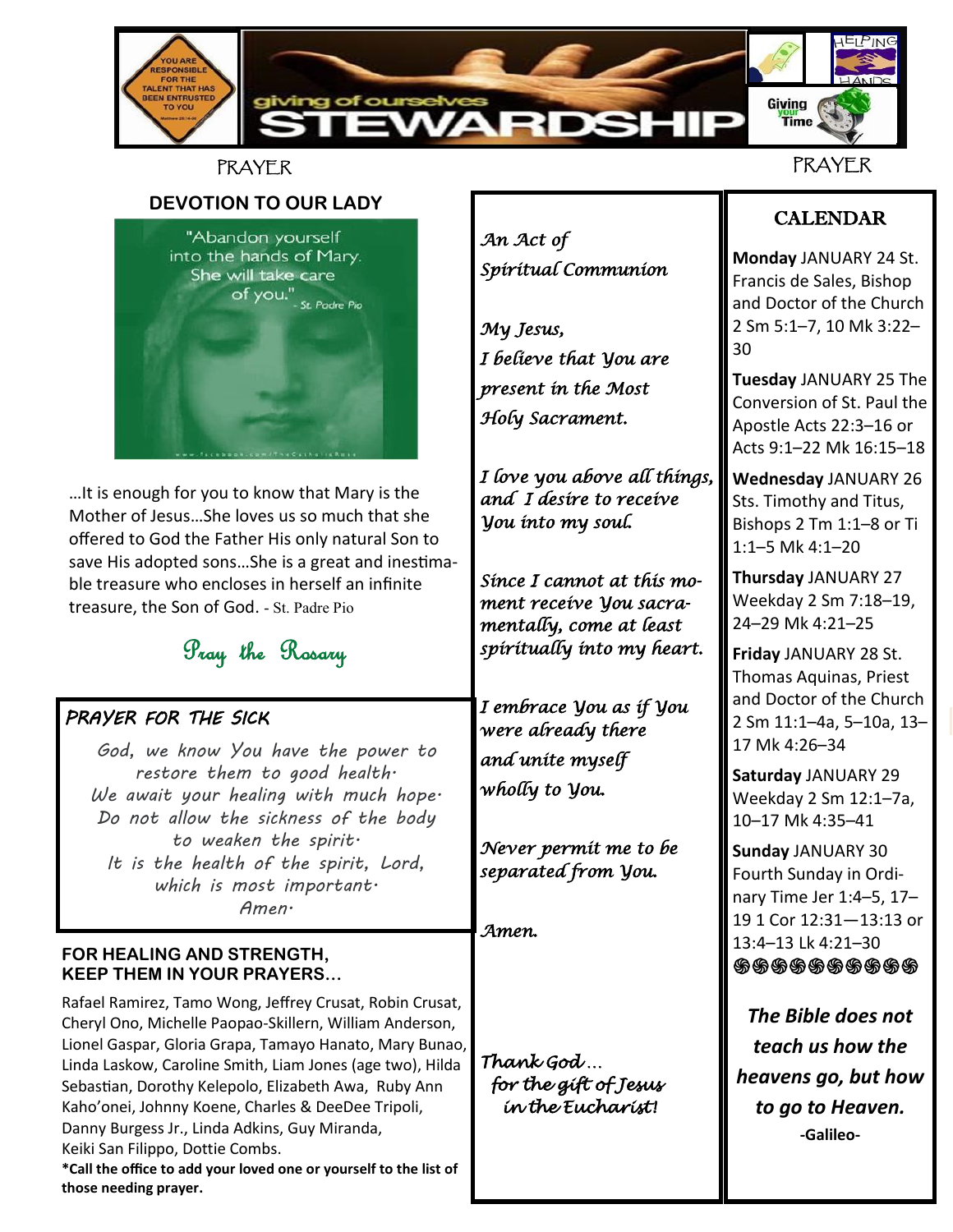

### **PRAYER**

**DEVOTION TO OUR LADY** "Abandon yourself into the hands of Mary. She will take care of you."<br>Of you."<br>st Padre Pio

…It is enough for you to know that Mary is the Mother of Jesus…She loves us so much that she offered to God the Father His only natural Son to save His adopted sons…She is a great and inestimable treasure who encloses in herself an infinite treasure, the Son of God. - St. Padre Pio

## Pray the Rosary

### *PRAYER FOR THE SICK*

 *God, we know You have the power to restore them to good health. We await your healing with much hope. Do not allow the sickness of the body to weaken the spirit. It is the health of the spirit, Lord, which is most important. Amen.*

#### **FOR HEALING AND STRENGTH, KEEP THEM IN YOUR PRAYERS…**

**those needing prayer.**

Rafael Ramirez, Tamo Wong, Jeffrey Crusat, Robin Crusat, Cheryl Ono, Michelle Paopao-Skillern, William Anderson, Lionel Gaspar, Gloria Grapa, Tamayo Hanato, Mary Bunao, Linda Laskow, Caroline Smith, Liam Jones (age two), Hilda Sebastian, Dorothy Kelepolo, Elizabeth Awa, Ruby Ann Kaho'onei, Johnny Koene, Charles & DeeDee Tripoli, Danny Burgess Jr., Linda Adkins, Guy Miranda, Keiki San Filippo, Dottie Combs. **\*Call the office to add your loved one or yourself to the list of** 

*An Act of Spiritual Communion* 

*My Jesus, I believe that You are present in the Most Holy Sacrament.* 

*I love you above all things, and I desire to receive You into my soul.* 

*Since I cannot at this moment receive You sacramentally, come at least spiritually into my heart.* 

*I embrace You as if You were already there and unite myself wholly to You.* 

*Never permit me to be separated from You.* 

*Amen.* 

*Thank God … for the gift of Jesus in the Eucharist!* 

## CALENDAR

**Monday** JANUARY 24 St. Francis de Sales, Bishop and Doctor of the Church 2 Sm 5:1–7, 10 Mk 3:22– 30

**Tuesday** JANUARY 25 The Conversion of St. Paul the Apostle Acts 22:3–16 or Acts 9:1–22 Mk 16:15–18

**Wednesday** JANUARY 26 Sts. Timothy and Titus, Bishops 2 Tm 1:1–8 or Ti 1:1–5 Mk 4:1–20

**Thursday** JANUARY 27 Weekday 2 Sm 7:18–19, 24–29 Mk 4:21–25

**Friday** JANUARY 28 St. Thomas Aquinas, Priest and Doctor of the Church 2 Sm 11:1–4a, 5–10a, 13– 17 Mk 4:26–34

**Saturday** JANUARY 29 Weekday 2 Sm 12:1–7a, 10–17 Mk 4:35–41

**Sunday** JANUARY 30 Fourth Sunday in Ordinary Time Jer 1:4–5, 17– 19 1 Cor 12:31—13:13 or 13:4–13 Lk 4:21–30 **֍֍֍֍֍֍֍֍֍֍**

*The Bible does not teach us how the heavens go, but how to go to Heaven.* **-Galileo-**